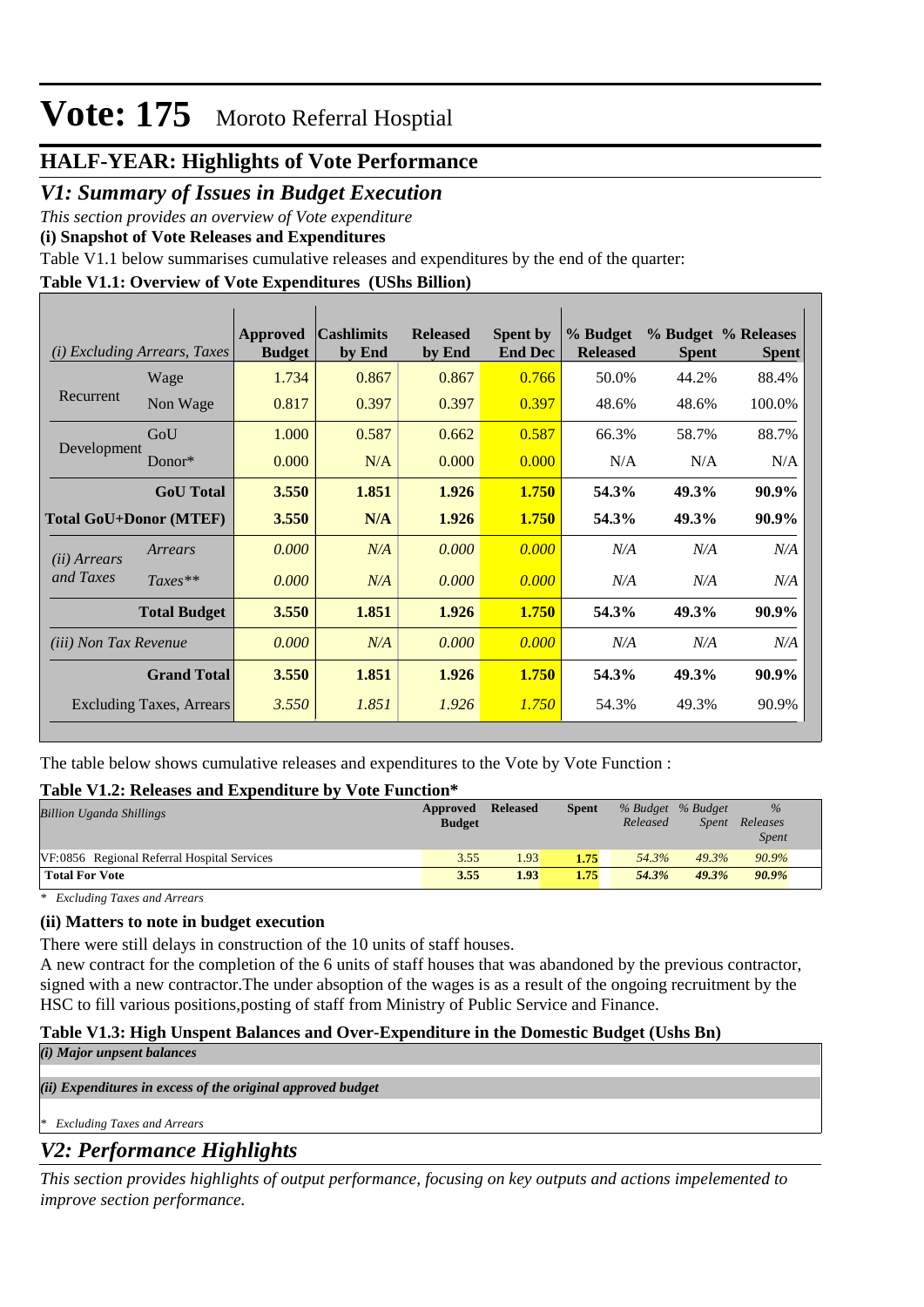### **HALF-YEAR: Highlights of Vote Performance**

### *V1: Summary of Issues in Budget Execution*

*This section provides an overview of Vote expenditure* 

**(i) Snapshot of Vote Releases and Expenditures**

Table V1.1 below summarises cumulative releases and expenditures by the end of the quarter:

### **Table V1.1: Overview of Vote Expenditures (UShs Billion)**

| <i>Excluding Arrears, Taxes</i><br>(i) |                                 | Approved<br><b>Budget</b> | <b>Cashlimits</b><br>by End | <b>Released</b><br>by End | <b>Spent by</b><br><b>End Dec</b> | % Budget<br><b>Released</b> | <b>Spent</b> | % Budget % Releases<br><b>Spent</b> |
|----------------------------------------|---------------------------------|---------------------------|-----------------------------|---------------------------|-----------------------------------|-----------------------------|--------------|-------------------------------------|
|                                        | Wage                            | 1.734                     | 0.867                       | 0.867                     | 0.766                             | 50.0%                       | 44.2%        | 88.4%                               |
| Recurrent                              | Non Wage                        | 0.817                     | 0.397                       | 0.397                     | 0.397                             | 48.6%                       | 48.6%        | 100.0%                              |
|                                        | GoU                             | 1.000                     | 0.587                       | 0.662                     | 0.587                             | 66.3%                       | 58.7%        | 88.7%                               |
| Development                            | Donor*                          | 0.000                     | N/A                         | 0.000                     | 0.000                             | N/A                         | N/A          | N/A                                 |
|                                        | <b>GoU</b> Total                | 3.550                     | 1.851                       | 1.926                     | 1.750                             | 54.3%                       | 49.3%        | 90.9%                               |
| <b>Total GoU+Donor (MTEF)</b>          |                                 | 3.550                     | N/A                         | 1.926                     | 1.750                             | 54.3%                       | 49.3%        | 90.9%                               |
| ( <i>ii</i> ) Arrears                  | Arrears                         | 0.000                     | N/A                         | 0.000                     | 0.000                             | N/A                         | N/A          | N/A                                 |
| and Taxes                              | $Taxes**$                       | 0.000                     | N/A                         | 0.000                     | 0.000                             | N/A                         | N/A          | N/A                                 |
|                                        | <b>Total Budget</b>             | 3.550                     | 1.851                       | 1.926                     | 1.750                             | 54.3%                       | 49.3%        | 90.9%                               |
| <i>(iii)</i> Non Tax Revenue           |                                 | 0.000                     | N/A                         | 0.000                     | 0.000                             | N/A                         | N/A          | N/A                                 |
|                                        | <b>Grand Total</b>              | 3.550                     | 1.851                       | 1.926                     | 1.750                             | 54.3%                       | 49.3%        | 90.9%                               |
|                                        | <b>Excluding Taxes, Arrears</b> | 3.550                     | 1.851                       | 1.926                     | 1.750                             | 54.3%                       | 49.3%        | 90.9%                               |

The table below shows cumulative releases and expenditures to the Vote by Vote Function :

### **Table V1.2: Releases and Expenditure by Vote Function\***

| <b>Billion Uganda Shillings</b>             | Approved<br><b>Budget</b> | <b>Released</b> | <b>Spent</b> | % Budget % Budget<br>Released | Spent | %<br>Releases<br><i>Spent</i> |
|---------------------------------------------|---------------------------|-----------------|--------------|-------------------------------|-------|-------------------------------|
| VF:0856 Regional Referral Hospital Services | 3.55                      | 1.93            | 1.75         | 54.3%                         | 49.3% | 90.9%                         |
| <b>Total For Vote</b>                       | 3.55                      | 1.93            | 1.75         | 54.3%                         | 49.3% | 90.9%                         |

*\* Excluding Taxes and Arrears*

### **(ii) Matters to note in budget execution**

There were still delays in construction of the 10 units of staff houses.

A new contract for the completion of the 6 units of staff houses that was abandoned by the previous contractor, signed with a new contractor.The under absoption of the wages is as a result of the ongoing recruitment by the HSC to fill various positions,posting of staff from Ministry of Public Service and Finance.

### **Table V1.3: High Unspent Balances and Over-Expenditure in the Domestic Budget (Ushs Bn)**

*(i) Major unpsent balances*

*(ii) Expenditures in excess of the original approved budget*

*\* Excluding Taxes and Arrears*

### *V2: Performance Highlights*

*This section provides highlights of output performance, focusing on key outputs and actions impelemented to improve section performance.*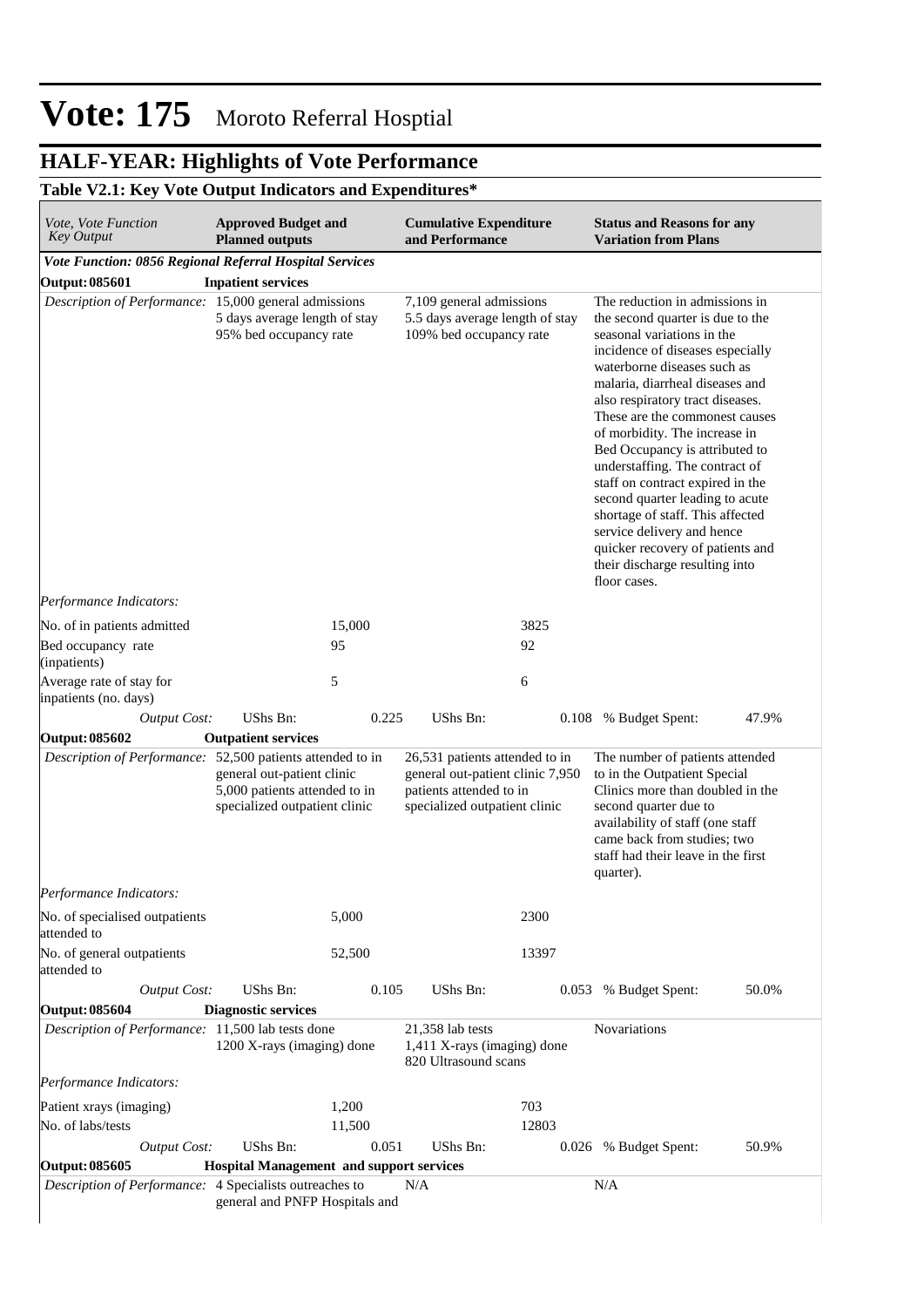# **HALF-YEAR: Highlights of Vote Performance**

### **Table V2.1: Key Vote Output Indicators and Expenditures\***

| <i>Vote, Vote Function</i><br><b>Key Output</b>            | <b>Approved Budget and</b><br><b>Planned outputs</b>                                         |        | <b>Cumulative Expenditure</b><br>and Performance                                                                               |       | <b>Status and Reasons for any</b><br><b>Variation from Plans</b>                                                                                                                                                                                                                                                                                                                                                                                                                                                                                                                                                 |       |
|------------------------------------------------------------|----------------------------------------------------------------------------------------------|--------|--------------------------------------------------------------------------------------------------------------------------------|-------|------------------------------------------------------------------------------------------------------------------------------------------------------------------------------------------------------------------------------------------------------------------------------------------------------------------------------------------------------------------------------------------------------------------------------------------------------------------------------------------------------------------------------------------------------------------------------------------------------------------|-------|
| Vote Function: 0856 Regional Referral Hospital Services    |                                                                                              |        |                                                                                                                                |       |                                                                                                                                                                                                                                                                                                                                                                                                                                                                                                                                                                                                                  |       |
| Output: 085601                                             | <b>Inpatient services</b>                                                                    |        |                                                                                                                                |       |                                                                                                                                                                                                                                                                                                                                                                                                                                                                                                                                                                                                                  |       |
| Description of Performance: 15,000 general admissions      | 5 days average length of stay<br>95% bed occupancy rate                                      |        | 7,109 general admissions<br>5.5 days average length of stay<br>109% bed occupancy rate                                         |       | The reduction in admissions in<br>the second quarter is due to the<br>seasonal variations in the<br>incidence of diseases especially<br>waterborne diseases such as<br>malaria, diarrheal diseases and<br>also respiratory tract diseases.<br>These are the commonest causes<br>of morbidity. The increase in<br>Bed Occupancy is attributed to<br>understaffing. The contract of<br>staff on contract expired in the<br>second quarter leading to acute<br>shortage of staff. This affected<br>service delivery and hence<br>quicker recovery of patients and<br>their discharge resulting into<br>floor cases. |       |
| Performance Indicators:                                    |                                                                                              |        |                                                                                                                                |       |                                                                                                                                                                                                                                                                                                                                                                                                                                                                                                                                                                                                                  |       |
| No. of in patients admitted                                |                                                                                              | 15,000 |                                                                                                                                | 3825  |                                                                                                                                                                                                                                                                                                                                                                                                                                                                                                                                                                                                                  |       |
| Bed occupancy rate<br>(inpatients)                         |                                                                                              | 95     |                                                                                                                                | 92    |                                                                                                                                                                                                                                                                                                                                                                                                                                                                                                                                                                                                                  |       |
| Average rate of stay for<br>inpatients (no. days)          |                                                                                              | 5      |                                                                                                                                | 6     |                                                                                                                                                                                                                                                                                                                                                                                                                                                                                                                                                                                                                  |       |
| <b>Output Cost:</b>                                        | UShs Bn:                                                                                     | 0.225  | UShs Bn:                                                                                                                       |       | 0.108 % Budget Spent:                                                                                                                                                                                                                                                                                                                                                                                                                                                                                                                                                                                            | 47.9% |
| Output: 085602                                             | <b>Outpatient services</b>                                                                   |        |                                                                                                                                |       |                                                                                                                                                                                                                                                                                                                                                                                                                                                                                                                                                                                                                  |       |
| Description of Performance: 52,500 patients attended to in | general out-patient clinic<br>5,000 patients attended to in<br>specialized outpatient clinic |        | 26,531 patients attended to in<br>general out-patient clinic 7,950<br>patients attended to in<br>specialized outpatient clinic |       | The number of patients attended<br>to in the Outpatient Special<br>Clinics more than doubled in the<br>second quarter due to<br>availability of staff (one staff<br>came back from studies; two<br>staff had their leave in the first<br>quarter).                                                                                                                                                                                                                                                                                                                                                               |       |
| Performance Indicators:                                    |                                                                                              |        |                                                                                                                                |       |                                                                                                                                                                                                                                                                                                                                                                                                                                                                                                                                                                                                                  |       |
| No. of specialised outpatients<br>attended to              |                                                                                              | 5,000  |                                                                                                                                | 2300  |                                                                                                                                                                                                                                                                                                                                                                                                                                                                                                                                                                                                                  |       |
| No. of general outpatients<br>attended to                  |                                                                                              | 52,500 |                                                                                                                                | 13397 |                                                                                                                                                                                                                                                                                                                                                                                                                                                                                                                                                                                                                  |       |
| <b>Output Cost:</b>                                        | <b>UShs Bn:</b>                                                                              | 0.105  | UShs Bn:                                                                                                                       |       | 0.053 % Budget Spent:                                                                                                                                                                                                                                                                                                                                                                                                                                                                                                                                                                                            | 50.0% |
| Output: 085604                                             | <b>Diagnostic services</b>                                                                   |        |                                                                                                                                |       |                                                                                                                                                                                                                                                                                                                                                                                                                                                                                                                                                                                                                  |       |
| Description of Performance: 11,500 lab tests done          | 1200 X-rays (imaging) done                                                                   |        | 21,358 lab tests<br>1,411 X-rays (imaging) done<br>820 Ultrasound scans                                                        |       | Novariations                                                                                                                                                                                                                                                                                                                                                                                                                                                                                                                                                                                                     |       |
| Performance Indicators:                                    |                                                                                              |        |                                                                                                                                |       |                                                                                                                                                                                                                                                                                                                                                                                                                                                                                                                                                                                                                  |       |
| Patient xrays (imaging)                                    |                                                                                              | 1,200  |                                                                                                                                | 703   |                                                                                                                                                                                                                                                                                                                                                                                                                                                                                                                                                                                                                  |       |
| No. of labs/tests                                          |                                                                                              | 11,500 |                                                                                                                                | 12803 |                                                                                                                                                                                                                                                                                                                                                                                                                                                                                                                                                                                                                  |       |
| <b>Output Cost:</b>                                        | UShs Bn:                                                                                     | 0.051  | UShs Bn:                                                                                                                       |       | 0.026 % Budget Spent:                                                                                                                                                                                                                                                                                                                                                                                                                                                                                                                                                                                            | 50.9% |
| Output: 085605                                             | <b>Hospital Management and support services</b>                                              |        |                                                                                                                                |       |                                                                                                                                                                                                                                                                                                                                                                                                                                                                                                                                                                                                                  |       |
| Description of Performance: 4 Specialists outreaches to    | general and PNFP Hospitals and                                                               |        | N/A                                                                                                                            |       | N/A                                                                                                                                                                                                                                                                                                                                                                                                                                                                                                                                                                                                              |       |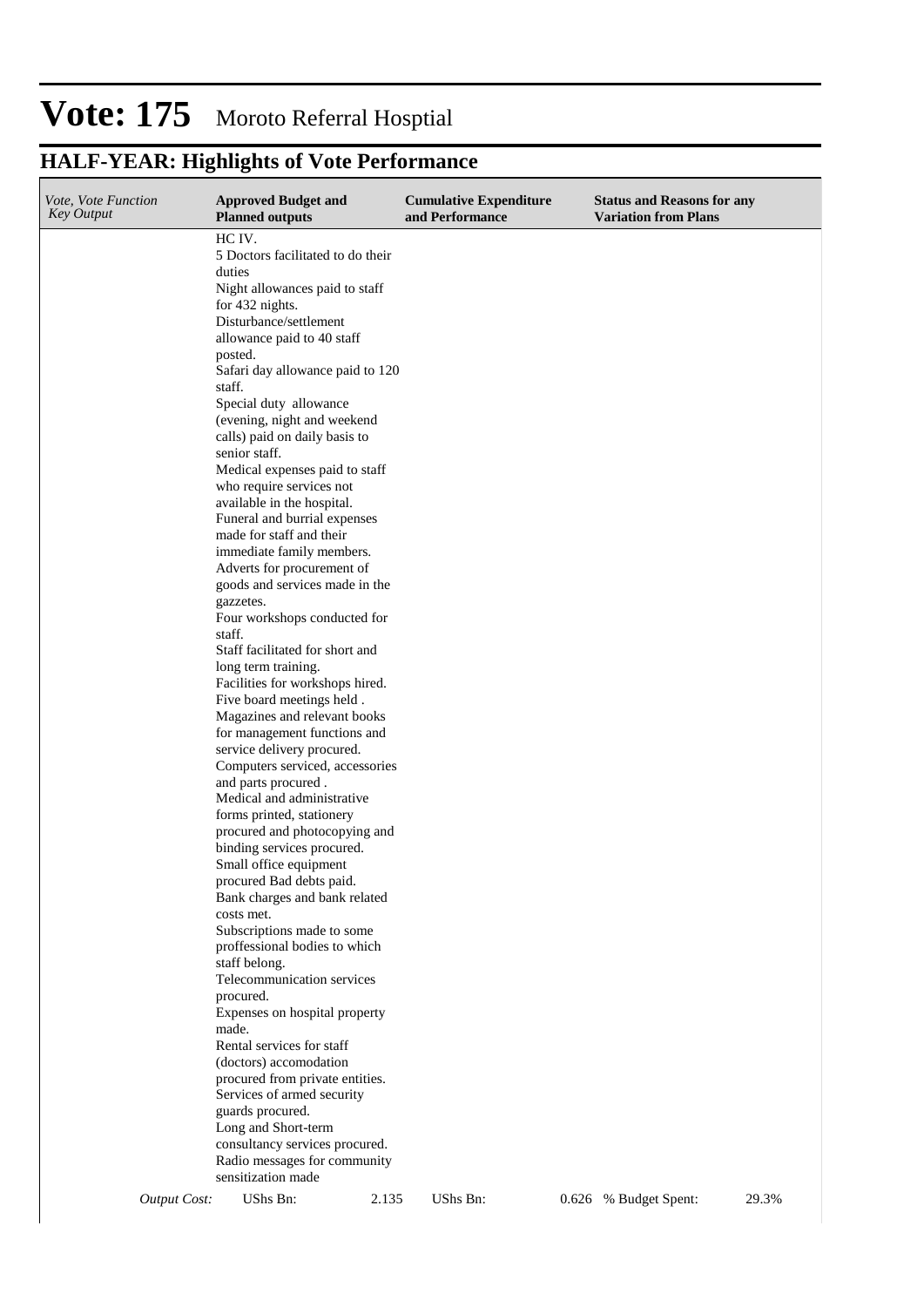# **HALF-YEAR: Highlights of Vote Performance**

| Vote, Vote Function<br><b>Key Output</b> |                     | <b>Approved Budget and</b><br><b>Planned outputs</b>          |       | <b>Cumulative Expenditure</b><br>and Performance | <b>Status and Reasons for any</b><br><b>Variation from Plans</b> |       |
|------------------------------------------|---------------------|---------------------------------------------------------------|-------|--------------------------------------------------|------------------------------------------------------------------|-------|
|                                          |                     | HC IV.                                                        |       |                                                  |                                                                  |       |
|                                          |                     | 5 Doctors facilitated to do their                             |       |                                                  |                                                                  |       |
|                                          |                     | duties                                                        |       |                                                  |                                                                  |       |
|                                          |                     | Night allowances paid to staff                                |       |                                                  |                                                                  |       |
|                                          |                     | for 432 nights.<br>Disturbance/settlement                     |       |                                                  |                                                                  |       |
|                                          |                     | allowance paid to 40 staff                                    |       |                                                  |                                                                  |       |
|                                          |                     | posted.                                                       |       |                                                  |                                                                  |       |
|                                          |                     | Safari day allowance paid to 120                              |       |                                                  |                                                                  |       |
|                                          |                     | staff.                                                        |       |                                                  |                                                                  |       |
|                                          |                     | Special duty allowance                                        |       |                                                  |                                                                  |       |
|                                          |                     | (evening, night and weekend                                   |       |                                                  |                                                                  |       |
|                                          |                     | calls) paid on daily basis to                                 |       |                                                  |                                                                  |       |
|                                          |                     | senior staff.<br>Medical expenses paid to staff               |       |                                                  |                                                                  |       |
|                                          |                     | who require services not                                      |       |                                                  |                                                                  |       |
|                                          |                     | available in the hospital.                                    |       |                                                  |                                                                  |       |
|                                          |                     | Funeral and burrial expenses                                  |       |                                                  |                                                                  |       |
|                                          |                     | made for staff and their                                      |       |                                                  |                                                                  |       |
|                                          |                     | immediate family members.                                     |       |                                                  |                                                                  |       |
|                                          |                     | Adverts for procurement of                                    |       |                                                  |                                                                  |       |
|                                          |                     | goods and services made in the                                |       |                                                  |                                                                  |       |
|                                          |                     | gazzetes.<br>Four workshops conducted for                     |       |                                                  |                                                                  |       |
|                                          |                     | staff.                                                        |       |                                                  |                                                                  |       |
|                                          |                     | Staff facilitated for short and                               |       |                                                  |                                                                  |       |
|                                          |                     | long term training.                                           |       |                                                  |                                                                  |       |
|                                          |                     | Facilities for workshops hired.                               |       |                                                  |                                                                  |       |
|                                          |                     | Five board meetings held.                                     |       |                                                  |                                                                  |       |
|                                          |                     | Magazines and relevant books                                  |       |                                                  |                                                                  |       |
|                                          |                     | for management functions and                                  |       |                                                  |                                                                  |       |
|                                          |                     | service delivery procured.<br>Computers serviced, accessories |       |                                                  |                                                                  |       |
|                                          |                     | and parts procured.                                           |       |                                                  |                                                                  |       |
|                                          |                     | Medical and administrative                                    |       |                                                  |                                                                  |       |
|                                          |                     | forms printed, stationery                                     |       |                                                  |                                                                  |       |
|                                          |                     | procured and photocopying and                                 |       |                                                  |                                                                  |       |
|                                          |                     | binding services procured.                                    |       |                                                  |                                                                  |       |
|                                          |                     | Small office equipment                                        |       |                                                  |                                                                  |       |
|                                          |                     | procured Bad debts paid.<br>Bank charges and bank related     |       |                                                  |                                                                  |       |
|                                          |                     | costs met.                                                    |       |                                                  |                                                                  |       |
|                                          |                     | Subscriptions made to some                                    |       |                                                  |                                                                  |       |
|                                          |                     | proffessional bodies to which                                 |       |                                                  |                                                                  |       |
|                                          |                     | staff belong.                                                 |       |                                                  |                                                                  |       |
|                                          |                     | Telecommunication services                                    |       |                                                  |                                                                  |       |
|                                          |                     | procured.                                                     |       |                                                  |                                                                  |       |
|                                          |                     | Expenses on hospital property                                 |       |                                                  |                                                                  |       |
|                                          |                     | made.<br>Rental services for staff                            |       |                                                  |                                                                  |       |
|                                          |                     | (doctors) accomodation                                        |       |                                                  |                                                                  |       |
|                                          |                     | procured from private entities.                               |       |                                                  |                                                                  |       |
|                                          |                     | Services of armed security                                    |       |                                                  |                                                                  |       |
|                                          |                     | guards procured.                                              |       |                                                  |                                                                  |       |
|                                          |                     | Long and Short-term                                           |       |                                                  |                                                                  |       |
|                                          |                     | consultancy services procured.                                |       |                                                  |                                                                  |       |
|                                          |                     | Radio messages for community<br>sensitization made            |       |                                                  |                                                                  |       |
|                                          | <b>Output Cost:</b> | UShs Bn:                                                      | 2.135 | UShs Bn:                                         | 0.626 % Budget Spent:                                            | 29.3% |
|                                          |                     |                                                               |       |                                                  |                                                                  |       |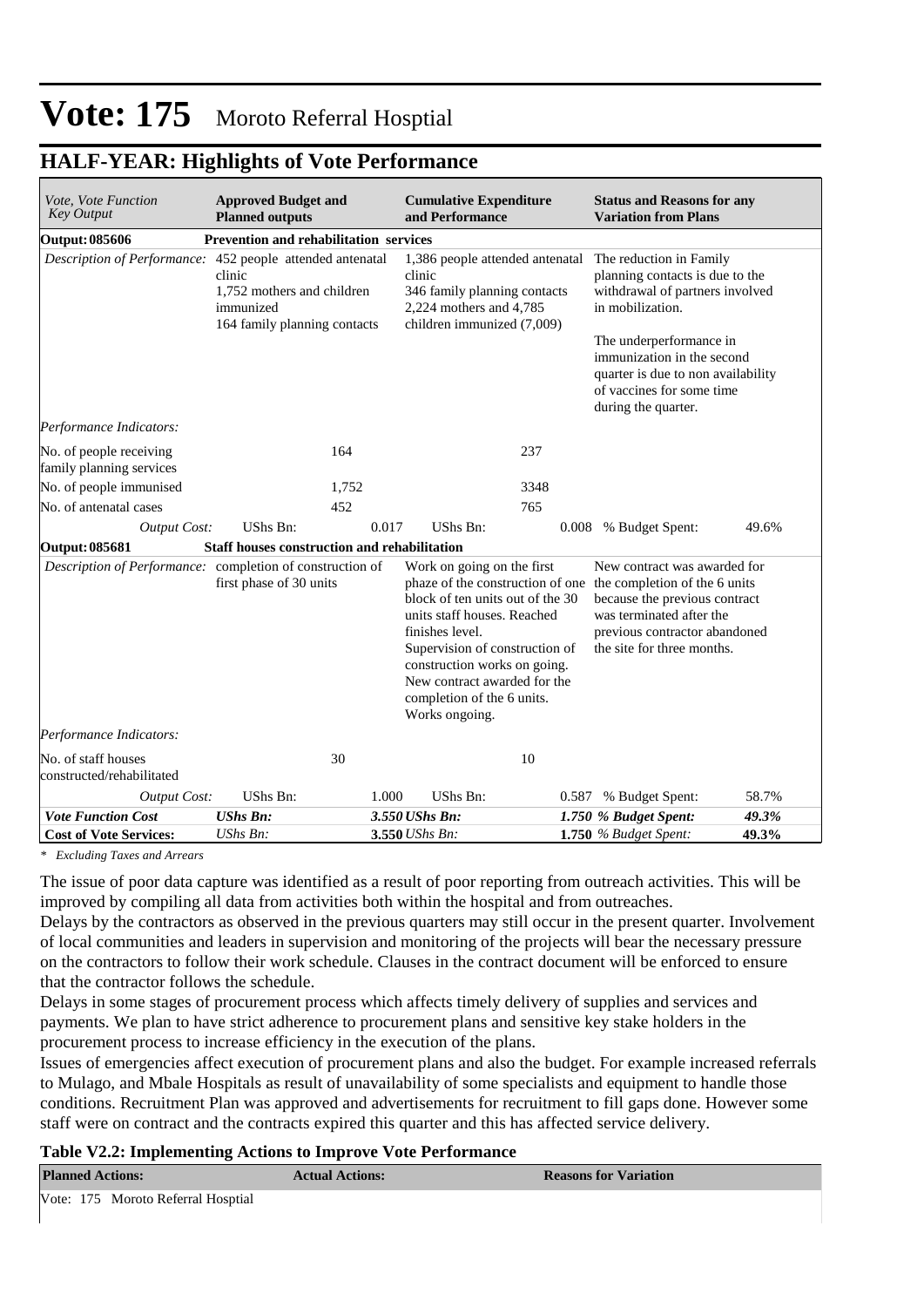### **HALF-YEAR: Highlights of Vote Performance**

| Vote, Vote Function<br><b>Key Output</b>                  | <b>Approved Budget and</b><br><b>Planned outputs</b>                              |       | <b>Cumulative Expenditure</b><br>and Performance                                                                                                                                                                                                                   |       | <b>Status and Reasons for any</b><br><b>Variation from Plans</b>                                                                                                                                                           |       |  |
|-----------------------------------------------------------|-----------------------------------------------------------------------------------|-------|--------------------------------------------------------------------------------------------------------------------------------------------------------------------------------------------------------------------------------------------------------------------|-------|----------------------------------------------------------------------------------------------------------------------------------------------------------------------------------------------------------------------------|-------|--|
| <b>Output: 085606</b>                                     | Prevention and rehabilitation services                                            |       |                                                                                                                                                                                                                                                                    |       |                                                                                                                                                                                                                            |       |  |
| Description of Performance: 452 people attended antenatal | clinic<br>1.752 mothers and children<br>immunized<br>164 family planning contacts |       | 1,386 people attended antenatal<br>clinic<br>346 family planning contacts<br>2,224 mothers and 4,785<br>children immunized (7,009)                                                                                                                                 |       | The reduction in Family<br>planning contacts is due to the<br>withdrawal of partners involved<br>in mobilization.<br>The underperformance in                                                                               |       |  |
|                                                           |                                                                                   |       |                                                                                                                                                                                                                                                                    |       | immunization in the second<br>quarter is due to non availability<br>of vaccines for some time<br>during the quarter.                                                                                                       |       |  |
| Performance Indicators:                                   |                                                                                   |       |                                                                                                                                                                                                                                                                    |       |                                                                                                                                                                                                                            |       |  |
| No. of people receiving<br>family planning services       |                                                                                   | 164   |                                                                                                                                                                                                                                                                    | 237   |                                                                                                                                                                                                                            |       |  |
| No. of people immunised                                   |                                                                                   | 1,752 |                                                                                                                                                                                                                                                                    | 3348  |                                                                                                                                                                                                                            |       |  |
| No. of antenatal cases                                    |                                                                                   | 452   |                                                                                                                                                                                                                                                                    | 765   |                                                                                                                                                                                                                            |       |  |
| <b>Output Cost:</b>                                       | UShs Bn:                                                                          | 0.017 | <b>UShs Bn:</b>                                                                                                                                                                                                                                                    |       | 0.008 % Budget Spent:                                                                                                                                                                                                      | 49.6% |  |
| <b>Output: 085681</b>                                     | Staff houses construction and rehabilitation                                      |       |                                                                                                                                                                                                                                                                    |       |                                                                                                                                                                                                                            |       |  |
| Description of Performance: completion of construction of | first phase of 30 units                                                           |       | Work on going on the first<br>block of ten units out of the 30<br>units staff houses. Reached<br>finishes level.<br>Supervision of construction of<br>construction works on going.<br>New contract awarded for the<br>completion of the 6 units.<br>Works ongoing. |       | New contract was awarded for<br>phaze of the construction of one the completion of the 6 units<br>because the previous contract<br>was terminated after the<br>previous contractor abandoned<br>the site for three months. |       |  |
| Performance Indicators:                                   |                                                                                   |       |                                                                                                                                                                                                                                                                    |       |                                                                                                                                                                                                                            |       |  |
| No. of staff houses<br>constructed/rehabilitated          |                                                                                   | 30    |                                                                                                                                                                                                                                                                    | 10    |                                                                                                                                                                                                                            |       |  |
| <b>Output Cost:</b>                                       | UShs Bn:                                                                          | 1.000 | <b>UShs Bn:</b>                                                                                                                                                                                                                                                    | 0.587 | % Budget Spent:                                                                                                                                                                                                            | 58.7% |  |
| <b>Vote Function Cost</b>                                 | <b>UShs Bn:</b>                                                                   |       | 3.550 UShs Bn:                                                                                                                                                                                                                                                     |       | 1.750 % Budget Spent:                                                                                                                                                                                                      | 49.3% |  |
| <b>Cost of Vote Services:</b>                             | UShs Bn:                                                                          |       | 3.550 UShs Bn:                                                                                                                                                                                                                                                     |       | $1.750$ % Budget Spent:                                                                                                                                                                                                    | 49.3% |  |

*\* Excluding Taxes and Arrears*

The issue of poor data capture was identified as a result of poor reporting from outreach activities. This will be improved by compiling all data from activities both within the hospital and from outreaches.

Delays by the contractors as observed in the previous quarters may still occur in the present quarter. Involvement of local communities and leaders in supervision and monitoring of the projects will bear the necessary pressure on the contractors to follow their work schedule. Clauses in the contract document will be enforced to ensure that the contractor follows the schedule.

Delays in some stages of procurement process which affects timely delivery of supplies and services and payments. We plan to have strict adherence to procurement plans and sensitive key stake holders in the procurement process to increase efficiency in the execution of the plans.

Issues of emergencies affect execution of procurement plans and also the budget. For example increased referrals to Mulago, and Mbale Hospitals as result of unavailability of some specialists and equipment to handle those conditions. Recruitment Plan was approved and advertisements for recruitment to fill gaps done. However some staff were on contract and the contracts expired this quarter and this has affected service delivery.

### **Table V2.2: Implementing Actions to Improve Vote Performance**

| <b>Planned Actions:</b>            |  | <b>Actual Actions:</b> | <b>Reasons for Variation</b> |
|------------------------------------|--|------------------------|------------------------------|
| Vote: 175 Moroto Referral Hosptial |  |                        |                              |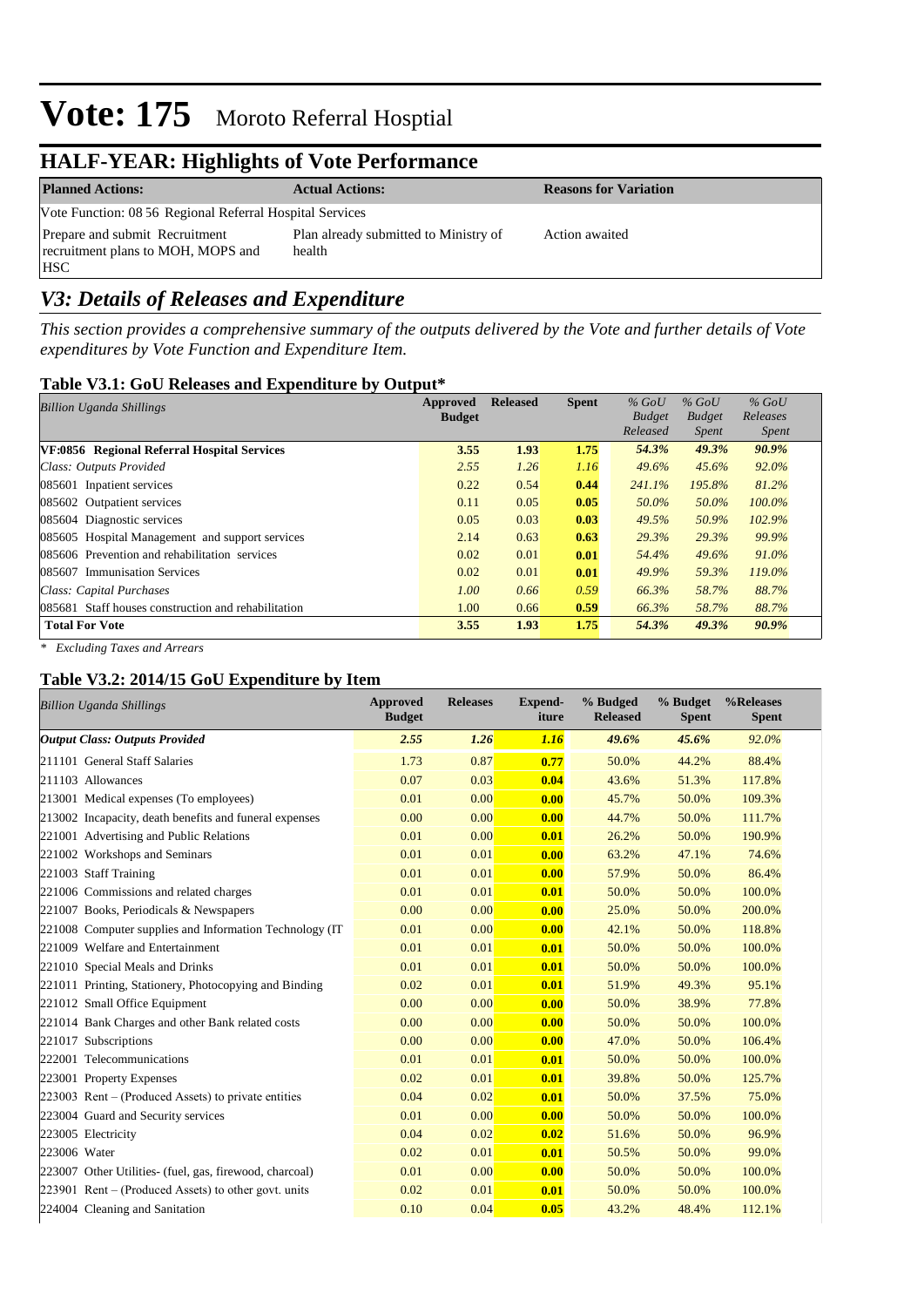## **HALF-YEAR: Highlights of Vote Performance**

| <b>Planned Actions:</b>                                                            | <b>Actual Actions:</b>                          | <b>Reasons for Variation</b> |
|------------------------------------------------------------------------------------|-------------------------------------------------|------------------------------|
| Vote Function: 08 56 Regional Referral Hospital Services                           |                                                 |                              |
| Prepare and submit Recruitment<br>recruitment plans to MOH, MOPS and<br><b>HSC</b> | Plan already submitted to Ministry of<br>health | Action awaited               |

## *V3: Details of Releases and Expenditure*

*This section provides a comprehensive summary of the outputs delivered by the Vote and further details of Vote expenditures by Vote Function and Expenditure Item.*

#### **Table V3.1: GoU Releases and Expenditure by Output\***

| <b>Billion Uganda Shillings</b>                     | Approved      | <b>Released</b> | <b>Spent</b> | $%$ GoU       | $%$ GoU       | $%$ GoU      |
|-----------------------------------------------------|---------------|-----------------|--------------|---------------|---------------|--------------|
|                                                     | <b>Budget</b> |                 |              | <b>Budget</b> | <b>Budget</b> | Releases     |
|                                                     |               |                 |              | Released      | <i>Spent</i>  | <i>Spent</i> |
| VF:0856 Regional Referral Hospital Services         | 3.55          | 1.93            | 1.75         | 54.3%         | 49.3%         | $90.9\%$     |
| Class: Outputs Provided                             | 2.55          | 1.26            | 1.16         | 49.6%         | 45.6%         | 92.0%        |
| 085601 Inpatient services                           | 0.22          | 0.54            | 0.44         | 241.1%        | 195.8%        | 81.2%        |
| 085602 Outpatient services                          | 0.11          | 0.05            | 0.05         | 50.0%         | 50.0%         | $100.0\%$    |
| 085604 Diagnostic services                          | 0.05          | 0.03            | 0.03         | 49.5%         | 50.9%         | 102.9%       |
| 085605 Hospital Management and support services     | 2.14          | 0.63            | 0.63         | 29.3%         | 29.3%         | 99.9%        |
| 085606 Prevention and rehabilitation services       | 0.02          | 0.01            | 0.01         | 54.4%         | 49.6%         | 91.0%        |
| 085607 Immunisation Services                        | 0.02          | 0.01            | 0.01         | 49.9%         | 59.3%         | 119.0%       |
| Class: Capital Purchases                            | 1.00          | 0.66            | 0.59         | 66.3%         | 58.7%         | 88.7%        |
| 085681 Staff houses construction and rehabilitation | 1.00          | 0.66            | 0.59         | 66.3%         | 58.7%         | 88.7%        |
| <b>Total For Vote</b>                               | 3.55          | 1.93            | 1.75         | 54.3%         | 49.3%         | $90.9\%$     |

*\* Excluding Taxes and Arrears*

### **Table V3.2: 2014/15 GoU Expenditure by Item**

| <b>Billion Uganda Shillings</b>                          | Approved<br><b>Budget</b> | <b>Releases</b> | <b>Expend-</b><br>iture | % Budged<br><b>Released</b> | % Budget<br><b>Spent</b> | %Releases<br><b>Spent</b> |
|----------------------------------------------------------|---------------------------|-----------------|-------------------------|-----------------------------|--------------------------|---------------------------|
| <b>Output Class: Outputs Provided</b>                    | 2.55                      | 1.26            | 1.16                    | 49.6%                       | 45.6%                    | 92.0%                     |
| 211101 General Staff Salaries                            | 1.73                      | 0.87            | 0.77                    | 50.0%                       | 44.2%                    | 88.4%                     |
| 211103 Allowances                                        | 0.07                      | 0.03            | 0.04                    | 43.6%                       | 51.3%                    | 117.8%                    |
| 213001 Medical expenses (To employees)                   | 0.01                      | 0.00            | 0.00                    | 45.7%                       | 50.0%                    | 109.3%                    |
| 213002 Incapacity, death benefits and funeral expenses   | 0.00                      | 0.00            | 0.00                    | 44.7%                       | 50.0%                    | 111.7%                    |
| 221001 Advertising and Public Relations                  | 0.01                      | 0.00            | 0.01                    | 26.2%                       | 50.0%                    | 190.9%                    |
| 221002 Workshops and Seminars                            | 0.01                      | 0.01            | 0.00                    | 63.2%                       | 47.1%                    | 74.6%                     |
| 221003 Staff Training                                    | 0.01                      | 0.01            | 0.00                    | 57.9%                       | 50.0%                    | 86.4%                     |
| 221006 Commissions and related charges                   | 0.01                      | 0.01            | 0.01                    | 50.0%                       | 50.0%                    | 100.0%                    |
| 221007 Books, Periodicals & Newspapers                   | 0.00                      | 0.00            | 0.00                    | 25.0%                       | 50.0%                    | 200.0%                    |
| 221008 Computer supplies and Information Technology (IT) | 0.01                      | 0.00            | 0.00                    | 42.1%                       | 50.0%                    | 118.8%                    |
| 221009 Welfare and Entertainment                         | 0.01                      | 0.01            | 0.01                    | 50.0%                       | 50.0%                    | 100.0%                    |
| 221010 Special Meals and Drinks                          | 0.01                      | 0.01            | 0.01                    | 50.0%                       | 50.0%                    | 100.0%                    |
| 221011 Printing, Stationery, Photocopying and Binding    | 0.02                      | 0.01            | 0.01                    | 51.9%                       | 49.3%                    | 95.1%                     |
| 221012 Small Office Equipment                            | 0.00                      | 0.00            | 0.00                    | 50.0%                       | 38.9%                    | 77.8%                     |
| 221014 Bank Charges and other Bank related costs         | 0.00                      | 0.00            | 0.00                    | 50.0%                       | 50.0%                    | 100.0%                    |
| 221017 Subscriptions                                     | 0.00                      | 0.00            | 0.00                    | 47.0%                       | 50.0%                    | 106.4%                    |
| 222001 Telecommunications                                | 0.01                      | 0.01            | 0.01                    | 50.0%                       | 50.0%                    | 100.0%                    |
| 223001 Property Expenses                                 | 0.02                      | 0.01            | 0.01                    | 39.8%                       | 50.0%                    | 125.7%                    |
| $223003$ Rent – (Produced Assets) to private entities    | 0.04                      | 0.02            | 0.01                    | 50.0%                       | 37.5%                    | 75.0%                     |
| 223004 Guard and Security services                       | 0.01                      | 0.00            | 0.00                    | 50.0%                       | 50.0%                    | 100.0%                    |
| 223005 Electricity                                       | 0.04                      | 0.02            | 0.02                    | 51.6%                       | 50.0%                    | 96.9%                     |
| 223006 Water                                             | 0.02                      | 0.01            | 0.01                    | 50.5%                       | 50.0%                    | 99.0%                     |
| 223007 Other Utilities- (fuel, gas, firewood, charcoal)  | 0.01                      | 0.00            | 0.00                    | 50.0%                       | 50.0%                    | 100.0%                    |
| $223901$ Rent – (Produced Assets) to other govt. units   | 0.02                      | 0.01            | 0.01                    | 50.0%                       | 50.0%                    | 100.0%                    |
| 224004 Cleaning and Sanitation                           | 0.10                      | 0.04            | 0.05                    | 43.2%                       | 48.4%                    | 112.1%                    |